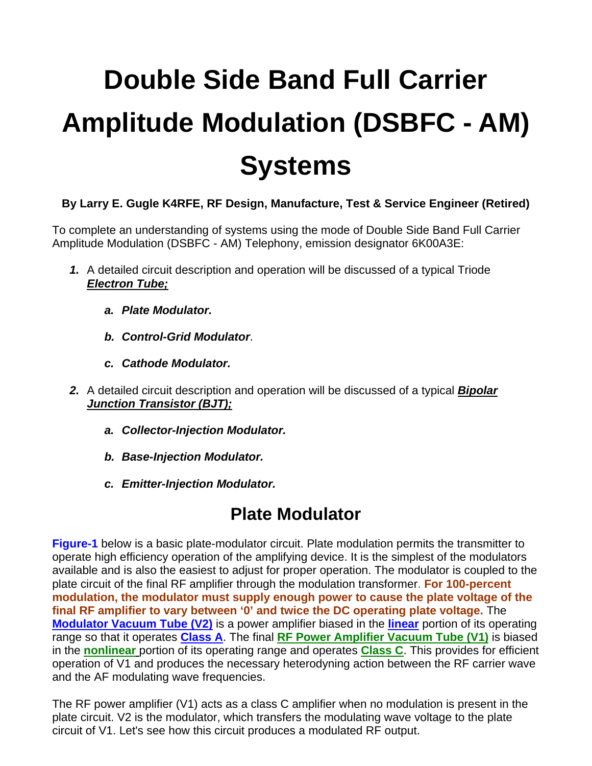# **Double Side Band Full Carrier Amplitude Modulation (DSBFC - AM) Systems**

#### **By Larry E. Gugle K4RFE, RF Design, Manufacture, Test & Service Engineer (Retired)**

To complete an understanding of systems using the mode of Double Side Band Full Carrier Amplitude Modulation (DSBFC - AM) Telephony, emission designator 6K00A3E:

- *1.* A detailed circuit description and operation will be discussed of a typical Triode *Electron Tube;* 
	- *a. Plate Modulator.*
	- *b. Control-Grid Modulator*.
	- *c. Cathode Modulator.*
- *2.* A detailed circuit description and operation will be discussed of a typical *Bipolar Junction Transistor (BJT);* 
	- *a. Collector-Injection Modulator.*
	- *b. Base-Injection Modulator.*
	- *c. Emitter-Injection Modulator.*

#### **Plate Modulator**

**Figure-1** below is a basic plate-modulator circuit. Plate modulation permits the transmitter to operate high efficiency operation of the amplifying device. It is the simplest of the modulators available and is also the easiest to adjust for proper operation. The modulator is coupled to the plate circuit of the final RF amplifier through the modulation transformer. **For 100-percent modulation, the modulator must supply enough power to cause the plate voltage of the final RF amplifier to vary between '0' and twice the DC operating plate voltage.** The **Modulator Vacuum Tube (V2)** is a power amplifier biased in the **linear** portion of its operating range so that it operates **Class A**. The final **RF Power Amplifier Vacuum Tube (V1)** is biased in the **nonlinear** portion of its operating range and operates **Class C**. This provides for efficient operation of V1 and produces the necessary heterodyning action between the RF carrier wave and the AF modulating wave frequencies.

The RF power amplifier (V1) acts as a class C amplifier when no modulation is present in the plate circuit. V2 is the modulator, which transfers the modulating wave voltage to the plate circuit of V1. Let's see how this circuit produces a modulated RF output.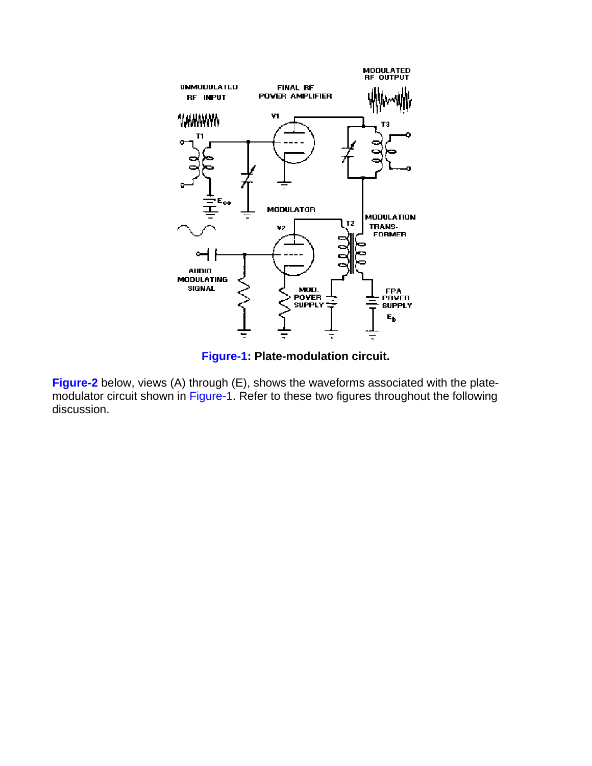

**Figure-1: Plate-modulation circuit.** 

**Figure-2** below, views (A) through (E), shows the waveforms associated with the platemodulator circuit shown in Figure-1. Refer to these two figures throughout the following discussion.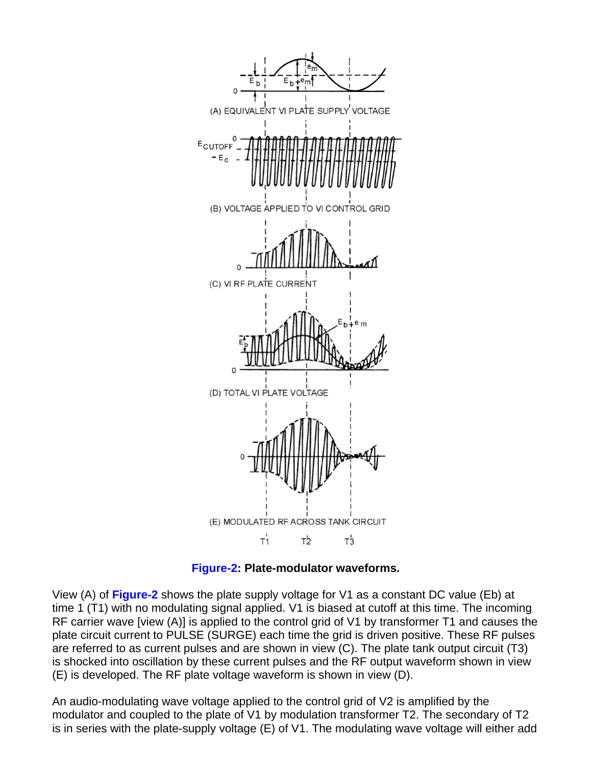

**Figure-2: Plate-modulator waveforms.** 

View (A) of **Figure-2** shows the plate supply voltage for V1 as a constant DC value (Eb) at time 1 (T1) with no modulating signal applied. V1 is biased at cutoff at this time. The incoming RF carrier wave [view (A)] is applied to the control grid of V1 by transformer T1 and causes the plate circuit current to PULSE (SURGE) each time the grid is driven positive. These RF pulses are referred to as current pulses and are shown in view (C). The plate tank output circuit (T3) is shocked into oscillation by these current pulses and the RF output waveform shown in view (E) is developed. The RF plate voltage waveform is shown in view (D).

An audio-modulating wave voltage applied to the control grid of V2 is amplified by the modulator and coupled to the plate of V1 by modulation transformer T2. The secondary of T2 is in series with the plate-supply voltage (E) of V1. The modulating wave voltage will either add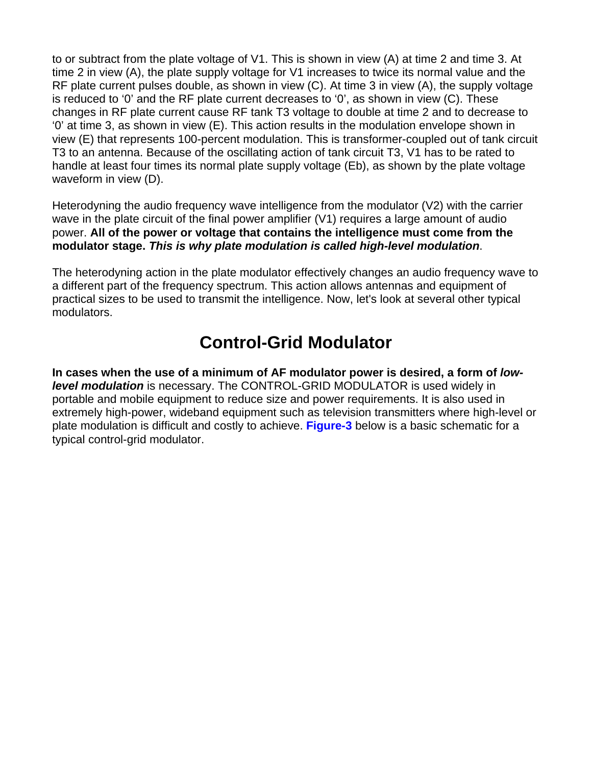to or subtract from the plate voltage of V1. This is shown in view (A) at time 2 and time 3. At time 2 in view (A), the plate supply voltage for V1 increases to twice its normal value and the RF plate current pulses double, as shown in view (C). At time 3 in view (A), the supply voltage is reduced to '0' and the RF plate current decreases to '0', as shown in view (C). These changes in RF plate current cause RF tank T3 voltage to double at time 2 and to decrease to '0' at time 3, as shown in view (E). This action results in the modulation envelope shown in view (E) that represents 100-percent modulation. This is transformer-coupled out of tank circuit T3 to an antenna. Because of the oscillating action of tank circuit T3, V1 has to be rated to handle at least four times its normal plate supply voltage (Eb), as shown by the plate voltage waveform in view (D).

Heterodyning the audio frequency wave intelligence from the modulator (V2) with the carrier wave in the plate circuit of the final power amplifier (V1) requires a large amount of audio power. **All of the power or voltage that contains the intelligence must come from the modulator stage.** *This is why plate modulation is called high-level modulation*.

The heterodyning action in the plate modulator effectively changes an audio frequency wave to a different part of the frequency spectrum. This action allows antennas and equipment of practical sizes to be used to transmit the intelligence. Now, let's look at several other typical modulators.

# **Control-Grid Modulator**

**In cases when the use of a minimum of AF modulator power is desired, a form of** *lowlevel modulation* is necessary. The CONTROL-GRID MODULATOR is used widely in portable and mobile equipment to reduce size and power requirements. It is also used in extremely high-power, wideband equipment such as television transmitters where high-level or plate modulation is difficult and costly to achieve. **Figure-3** below is a basic schematic for a typical control-grid modulator.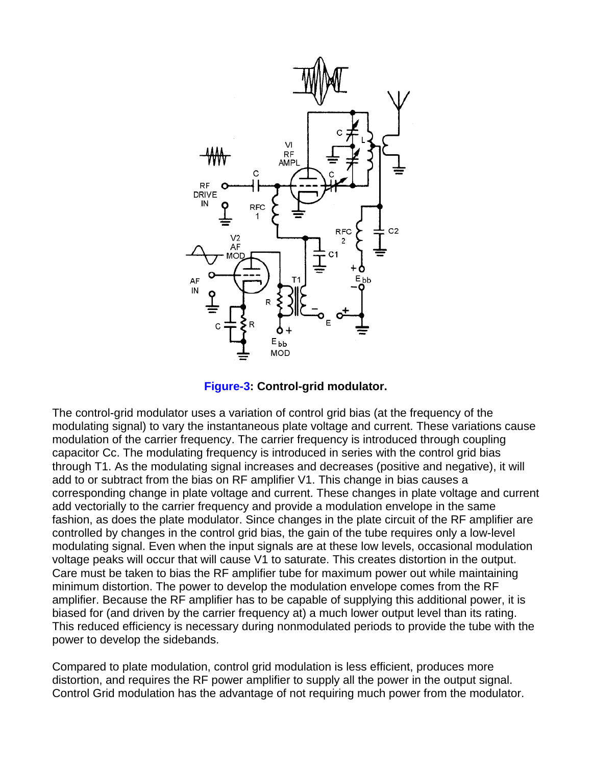

**Figure-3: Control-grid modulator.** 

The control-grid modulator uses a variation of control grid bias (at the frequency of the modulating signal) to vary the instantaneous plate voltage and current. These variations cause modulation of the carrier frequency. The carrier frequency is introduced through coupling capacitor Cc. The modulating frequency is introduced in series with the control grid bias through T1. As the modulating signal increases and decreases (positive and negative), it will add to or subtract from the bias on RF amplifier V1. This change in bias causes a corresponding change in plate voltage and current. These changes in plate voltage and current add vectorially to the carrier frequency and provide a modulation envelope in the same fashion, as does the plate modulator. Since changes in the plate circuit of the RF amplifier are controlled by changes in the control grid bias, the gain of the tube requires only a low-level modulating signal. Even when the input signals are at these low levels, occasional modulation voltage peaks will occur that will cause V1 to saturate. This creates distortion in the output. Care must be taken to bias the RF amplifier tube for maximum power out while maintaining minimum distortion. The power to develop the modulation envelope comes from the RF amplifier. Because the RF amplifier has to be capable of supplying this additional power, it is biased for (and driven by the carrier frequency at) a much lower output level than its rating. This reduced efficiency is necessary during nonmodulated periods to provide the tube with the power to develop the sidebands.

Compared to plate modulation, control grid modulation is less efficient, produces more distortion, and requires the RF power amplifier to supply all the power in the output signal. Control Grid modulation has the advantage of not requiring much power from the modulator.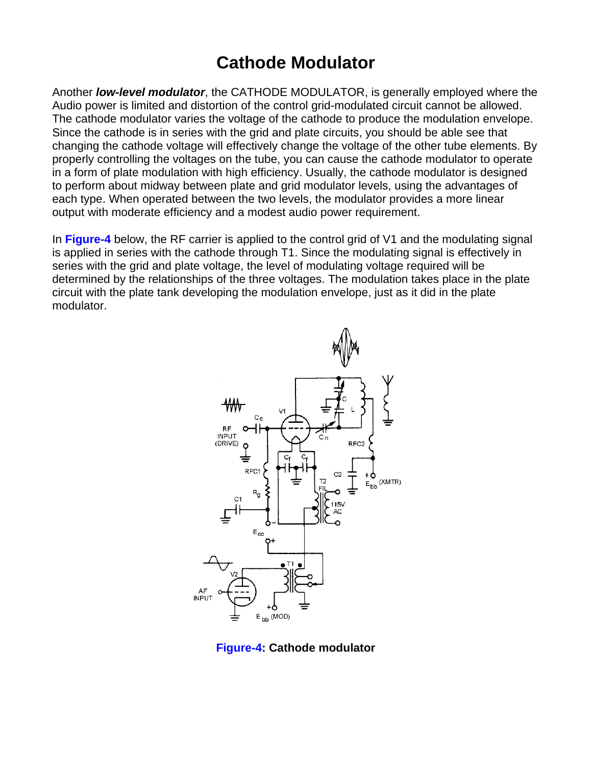## **Cathode Modulator**

Another *low-level modulator*, the CATHODE MODULATOR, is generally employed where the Audio power is limited and distortion of the control grid-modulated circuit cannot be allowed. The cathode modulator varies the voltage of the cathode to produce the modulation envelope. Since the cathode is in series with the grid and plate circuits, you should be able see that changing the cathode voltage will effectively change the voltage of the other tube elements. By properly controlling the voltages on the tube, you can cause the cathode modulator to operate in a form of plate modulation with high efficiency. Usually, the cathode modulator is designed to perform about midway between plate and grid modulator levels, using the advantages of each type. When operated between the two levels, the modulator provides a more linear output with moderate efficiency and a modest audio power requirement.

In **Figure-4** below, the RF carrier is applied to the control grid of V1 and the modulating signal is applied in series with the cathode through T1. Since the modulating signal is effectively in series with the grid and plate voltage, the level of modulating voltage required will be determined by the relationships of the three voltages. The modulation takes place in the plate circuit with the plate tank developing the modulation envelope, just as it did in the plate modulator.



**Figure-4: Cathode modulator**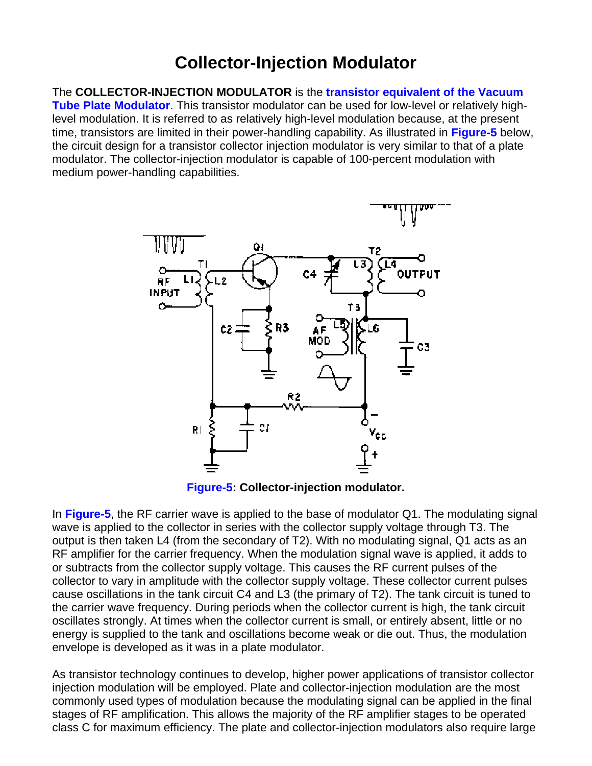### **Collector-Injection Modulator**

The **COLLECTOR-INJECTION MODULATOR** is the **transistor equivalent of the Vacuum Tube Plate Modulator**. This transistor modulator can be used for low-level or relatively highlevel modulation. It is referred to as relatively high-level modulation because, at the present time, transistors are limited in their power-handling capability. As illustrated in **Figure-5** below, the circuit design for a transistor collector injection modulator is very similar to that of a plate modulator. The collector-injection modulator is capable of 100-percent modulation with medium power-handling capabilities.



**Figure-5: Collector-injection modulator.** 

In **Figure-5**, the RF carrier wave is applied to the base of modulator Q1. The modulating signal wave is applied to the collector in series with the collector supply voltage through T3. The output is then taken L4 (from the secondary of T2). With no modulating signal, Q1 acts as an RF amplifier for the carrier frequency. When the modulation signal wave is applied, it adds to or subtracts from the collector supply voltage. This causes the RF current pulses of the collector to vary in amplitude with the collector supply voltage. These collector current pulses cause oscillations in the tank circuit C4 and L3 (the primary of T2). The tank circuit is tuned to the carrier wave frequency. During periods when the collector current is high, the tank circuit oscillates strongly. At times when the collector current is small, or entirely absent, little or no energy is supplied to the tank and oscillations become weak or die out. Thus, the modulation envelope is developed as it was in a plate modulator.

As transistor technology continues to develop, higher power applications of transistor collector injection modulation will be employed. Plate and collector-injection modulation are the most commonly used types of modulation because the modulating signal can be applied in the final stages of RF amplification. This allows the majority of the RF amplifier stages to be operated class C for maximum efficiency. The plate and collector-injection modulators also require large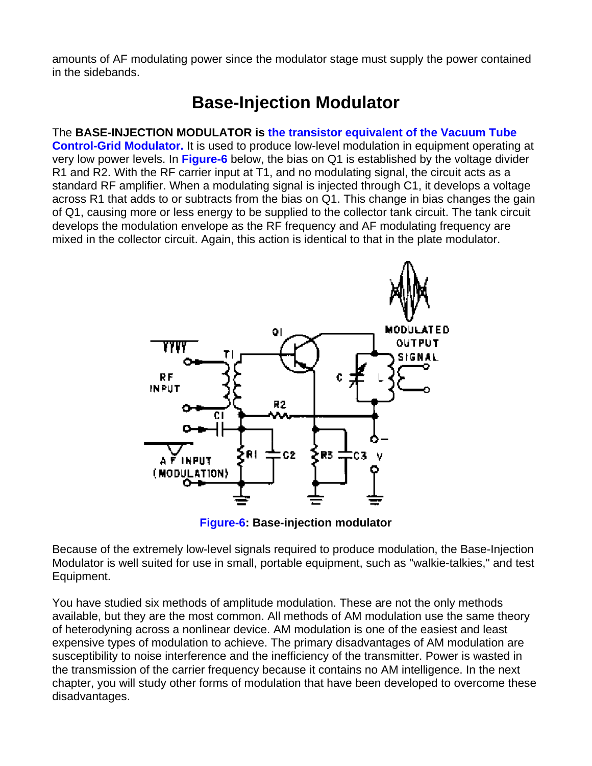amounts of AF modulating power since the modulator stage must supply the power contained in the sidebands.

# **Base-Injection Modulator**

#### The **BASE-INJECTION MODULATOR is the transistor equivalent of the Vacuum Tube**

**Control-Grid Modulator.** It is used to produce low-level modulation in equipment operating at very low power levels. In **Figure-6** below, the bias on Q1 is established by the voltage divider R1 and R2. With the RF carrier input at T1, and no modulating signal, the circuit acts as a standard RF amplifier. When a modulating signal is injected through C1, it develops a voltage across R1 that adds to or subtracts from the bias on Q1. This change in bias changes the gain of Q1, causing more or less energy to be supplied to the collector tank circuit. The tank circuit develops the modulation envelope as the RF frequency and AF modulating frequency are mixed in the collector circuit. Again, this action is identical to that in the plate modulator.



**Figure-6: Base-injection modulator** 

Because of the extremely low-level signals required to produce modulation, the Base-Injection Modulator is well suited for use in small, portable equipment, such as "walkie-talkies," and test Equipment.

You have studied six methods of amplitude modulation. These are not the only methods available, but they are the most common. All methods of AM modulation use the same theory of heterodyning across a nonlinear device. AM modulation is one of the easiest and least expensive types of modulation to achieve. The primary disadvantages of AM modulation are susceptibility to noise interference and the inefficiency of the transmitter. Power is wasted in the transmission of the carrier frequency because it contains no AM intelligence. In the next chapter, you will study other forms of modulation that have been developed to overcome these disadvantages.